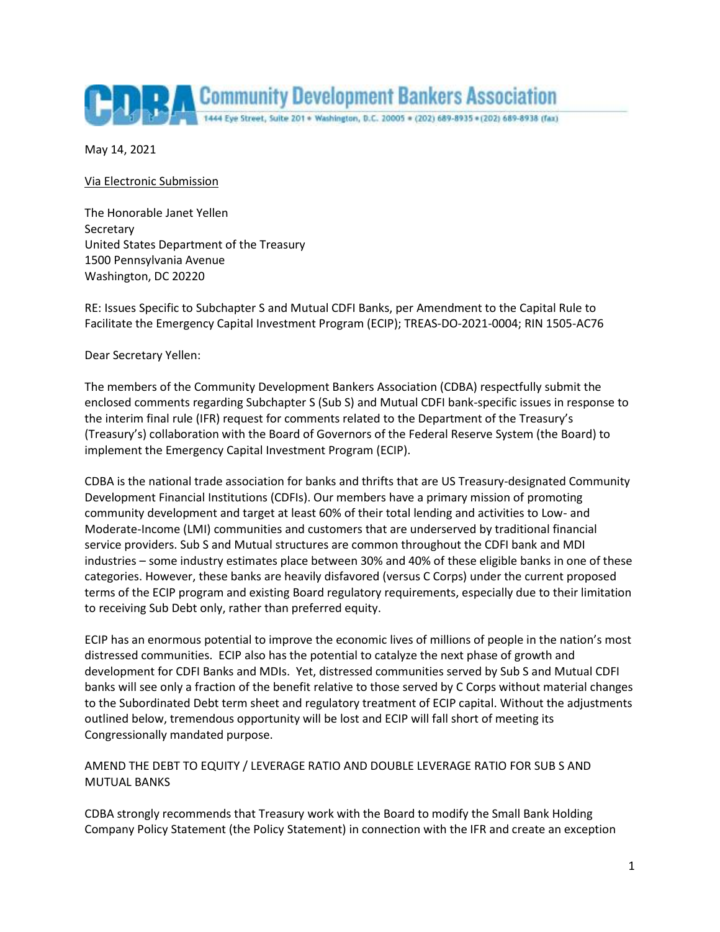

May 14, 2021

Via Electronic Submission

The Honorable Janet Yellen **Secretary** United States Department of the Treasury 1500 Pennsylvania Avenue Washington, DC 20220

RE: Issues Specific to Subchapter S and Mutual CDFI Banks, per Amendment to the Capital Rule to Facilitate the Emergency Capital Investment Program (ECIP); TREAS-DO-2021-0004; RIN 1505-AC76

Dear Secretary Yellen:

The members of the Community Development Bankers Association (CDBA) respectfully submit the enclosed comments regarding Subchapter S (Sub S) and Mutual CDFI bank-specific issues in response to the interim final rule (IFR) request for comments related to the Department of the Treasury's (Treasury's) collaboration with the Board of Governors of the Federal Reserve System (the Board) to implement the Emergency Capital Investment Program (ECIP).

CDBA is the national trade association for banks and thrifts that are US Treasury-designated Community Development Financial Institutions (CDFIs). Our members have a primary mission of promoting community development and target at least 60% of their total lending and activities to Low- and Moderate-Income (LMI) communities and customers that are underserved by traditional financial service providers. Sub S and Mutual structures are common throughout the CDFI bank and MDI industries – some industry estimates place between 30% and 40% of these eligible banks in one of these categories. However, these banks are heavily disfavored (versus C Corps) under the current proposed terms of the ECIP program and existing Board regulatory requirements, especially due to their limitation to receiving Sub Debt only, rather than preferred equity.

ECIP has an enormous potential to improve the economic lives of millions of people in the nation's most distressed communities. ECIP also has the potential to catalyze the next phase of growth and development for CDFI Banks and MDIs. Yet, distressed communities served by Sub S and Mutual CDFI banks will see only a fraction of the benefit relative to those served by C Corps without material changes to the Subordinated Debt term sheet and regulatory treatment of ECIP capital. Without the adjustments outlined below, tremendous opportunity will be lost and ECIP will fall short of meeting its Congressionally mandated purpose.

## AMEND THE DEBT TO EQUITY / LEVERAGE RATIO AND DOUBLE LEVERAGE RATIO FOR SUB S AND MUTUAL BANKS

CDBA strongly recommends that Treasury work with the Board to modify the Small Bank Holding Company Policy Statement (the Policy Statement) in connection with the IFR and create an exception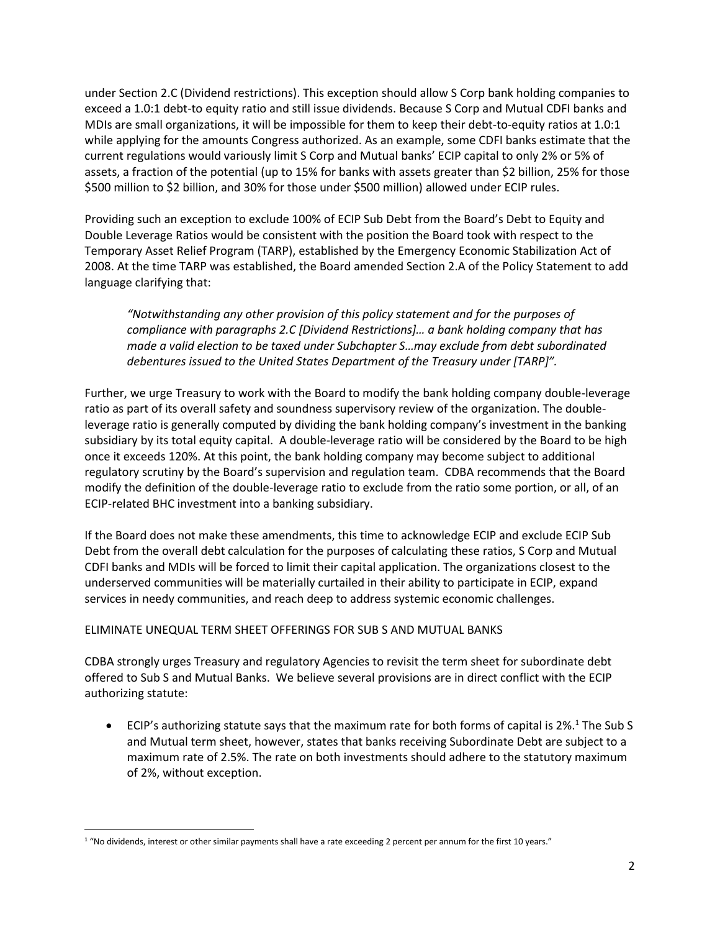under Section 2.C (Dividend restrictions). This exception should allow S Corp bank holding companies to exceed a 1.0:1 debt-to equity ratio and still issue dividends. Because S Corp and Mutual CDFI banks and MDIs are small organizations, it will be impossible for them to keep their debt-to-equity ratios at 1.0:1 while applying for the amounts Congress authorized. As an example, some CDFI banks estimate that the current regulations would variously limit S Corp and Mutual banks' ECIP capital to only 2% or 5% of assets, a fraction of the potential (up to 15% for banks with assets greater than \$2 billion, 25% for those \$500 million to \$2 billion, and 30% for those under \$500 million) allowed under ECIP rules.

Providing such an exception to exclude 100% of ECIP Sub Debt from the Board's Debt to Equity and Double Leverage Ratios would be consistent with the position the Board took with respect to the Temporary Asset Relief Program (TARP), established by the Emergency Economic Stabilization Act of 2008. At the time TARP was established, the Board amended Section 2.A of the Policy Statement to add language clarifying that:

*"Notwithstanding any other provision of this policy statement and for the purposes of compliance with paragraphs 2.C [Dividend Restrictions]… a bank holding company that has made a valid election to be taxed under Subchapter S…may exclude from debt subordinated debentures issued to the United States Department of the Treasury under [TARP]".* 

Further, we urge Treasury to work with the Board to modify the bank holding company double-leverage ratio as part of its overall safety and soundness supervisory review of the organization. The doubleleverage ratio is generally computed by dividing the bank holding company's investment in the banking subsidiary by its total equity capital. A double-leverage ratio will be considered by the Board to be high once it exceeds 120%. At this point, the bank holding company may become subject to additional regulatory scrutiny by the Board's supervision and regulation team. CDBA recommends that the Board modify the definition of the double-leverage ratio to exclude from the ratio some portion, or all, of an ECIP-related BHC investment into a banking subsidiary.

If the Board does not make these amendments, this time to acknowledge ECIP and exclude ECIP Sub Debt from the overall debt calculation for the purposes of calculating these ratios, S Corp and Mutual CDFI banks and MDIs will be forced to limit their capital application. The organizations closest to the underserved communities will be materially curtailed in their ability to participate in ECIP, expand services in needy communities, and reach deep to address systemic economic challenges.

## ELIMINATE UNEQUAL TERM SHEET OFFERINGS FOR SUB S AND MUTUAL BANKS

CDBA strongly urges Treasury and regulatory Agencies to revisit the term sheet for subordinate debt offered to Sub S and Mutual Banks. We believe several provisions are in direct conflict with the ECIP authorizing statute:

**ECIP's authorizing statute says that the maximum rate for both forms of capital is 2%.**<sup>1</sup> The Sub S and Mutual term sheet, however, states that banks receiving Subordinate Debt are subject to a maximum rate of 2.5%. The rate on both investments should adhere to the statutory maximum of 2%, without exception.

 $\overline{\phantom{a}}$ <sup>1</sup> "No dividends, interest or other similar payments shall have a rate exceeding 2 percent per annum for the first 10 years."